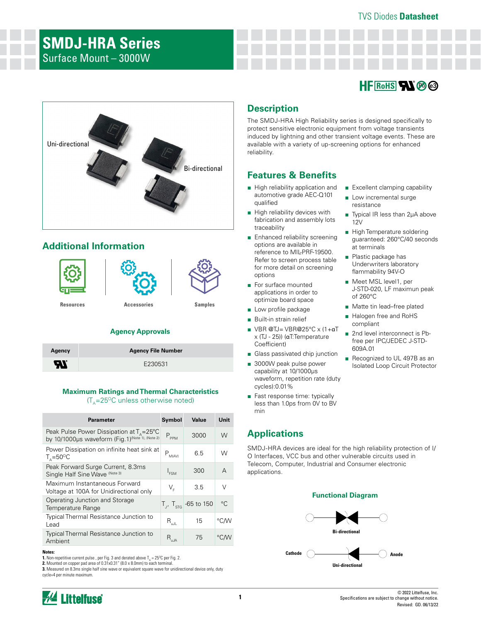# **SMDJ-HRA Series** Surface Mount – 3000W

# $HF$ <sub>Rohs</sub>  $\mathbf{N}$   $\mathbf{\emptyset}$   $\odot$

■ Excellent clamping capability ■ Low incremental surge

■ Typical IR less than 2µA above

J-STD-020, LF maximun peak

■ Matte tin lead–free plated ■ Halogen free and RoHS

■ 2nd level interconnect is Pbfree per IPC/JEDEC J-STD-

■ Recognized to UL 497B as an Isolated Loop Circuit Protector

■ High Temperature soldering guaranteed: 260°C/40 seconds

resistance

at terminals ■ Plastic package has Underwriters laboratory flammability 94V-O ■ Meet MSL level1, per

of 260°C

compliant

609A.01

12V



# **Additional Information**



### **Agency Approvals**

| Agency           | <b>Agency File Number</b> |
|------------------|---------------------------|
| $\boldsymbol{H}$ | E230531                   |

### **Maximum Ratings and Thermal Characteristics**

 $(T_{\text{A}}=25^{\circ}\text{C}$  unless otherwise noted)

| <b>Parameter</b>                                                                                        | Symbol         | Value                          | Unit           |
|---------------------------------------------------------------------------------------------------------|----------------|--------------------------------|----------------|
| Peak Pulse Power Dissipation at $T_a = 25^{\circ}C$<br>by 10/1000µs waveform (Fig. 1)(Note 1), (Note 2) | $P_{PPM}$      | 3000                           | W              |
| Power Dissipation on infinite heat sink at<br>$T_{0} = 50^{\circ}$ C                                    | $P_{M(AV)}$    | 6.5                            | W              |
| Peak Forward Surge Current, 8.3ms<br>Single Half Sine Wave (Note 3)                                     | $I_{FSM}$      | 300                            | A              |
| Maximum Instantaneous Forward<br>Voltage at 100A for Unidirectional only                                | V,             | 3.5                            | $\vee$         |
| Operating Junction and Storage<br>Temperature Range                                                     |                | $T_{J}$ , $T_{STG}$ -65 to 150 | $\circ$ $\cap$ |
| <b>Typical Thermal Resistance Junction to</b><br>Lead                                                   | $R_{\rm{all}}$ | 15                             | °C∕W           |
| Typical Thermal Resistance Junction to<br>Ambient                                                       | $R_{\mu JA}$   | 75                             | °C∕W           |

#### **Notes:**

**1.** Non-repetitive current pulse , per Fig. 3 and derated above  $T_A = 25^{\circ}$ C per Fig. 2.

**2.** Mounted on copper pad area of 0.31x0.31" (8.0 x 8.0mm) to each terminal.

**3.** Measured on 8.3ms single half sine wave or equivalent square wave for unidirectional device only, duty cycle=4 per minute maximum.

# **Description**

The SMDJ-HRA High Reliability series is designed specifically to protect sensitive electronic equipment from voltage transients induced by lightning and other transient voltage events. These are available with a variety of up-screening options for enhanced reliability.

## **Features & Benefits**

- High reliability application and automotive grade AEC-Q101 qualified
- High reliability devices with fabrication and assembly lots traceability
- Enhanced reliability screening options are available in reference to MIL-PRF-19500. Refer to screen process table for more detail on screening options
- For surface mounted applications in order to optimize board space
- Low profile package
- Built-in strain relief
- VBR @TJ= VBR@25°C x (1+αT x (TJ - 25)) (αT:Temperature Coefficient)
- Glass passivated chip junction
- 3000W peak pulse power capability at 10/1000μs waveform, repetition rate (duty cycles):0.01%
- Fast response time: typically less than 1.0ps from 0V to BV min

## **Applications**

SMDJ-HRA devices are ideal for the high reliability protection of I/ O Interfaces, VCC bus and other vulnerable circuits used in Telecom, Computer, Industrial and Consumer electronic applications.

### **Functional Diagram**



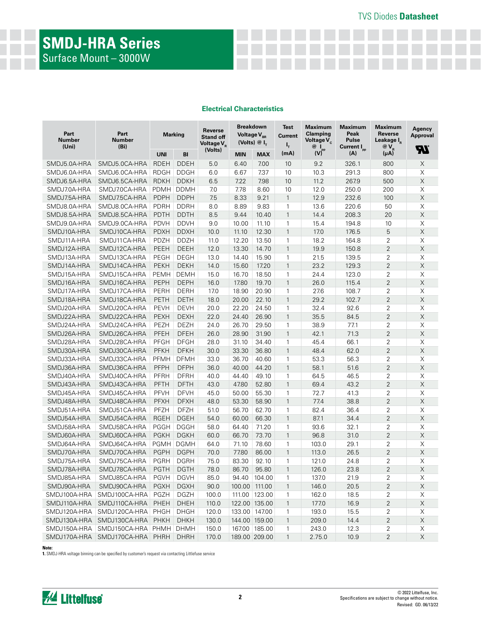# **SMDJ-HRA Series** Surface Mount – 3000W

#### **Electrical Characteristics**

| <b>Breakdown</b><br><b>Maximum</b><br><b>Maximum</b><br><b>Maximum</b><br>Test<br>Reverse<br>Part<br>Part<br>Clamping<br>Peak<br>Reverse<br><b>Marking</b><br>Voltage $V_{_{RR}}$<br>Current<br><b>Stand off</b><br>Number<br><b>Number</b><br>Voltage $V_c$<br><b>Pulse</b><br>Leakage I <sub>p</sub><br>(Volts) $@I_{\tau}$<br>Voltage $V_{\rm R}$<br>ı,<br>(Uni)<br>(B <sub>i</sub> )<br>$@I_{\text{pp}}$<br>Current I <sub>pp</sub><br>$@V_{R}$ | Agency<br><b>Approval</b><br><b>R</b> |
|-----------------------------------------------------------------------------------------------------------------------------------------------------------------------------------------------------------------------------------------------------------------------------------------------------------------------------------------------------------------------------------------------------------------------------------------------------|---------------------------------------|
| (Volts)<br>(mA)<br>(V)<br>(A)<br>(μA)<br><b>UNI</b><br>BI<br><b>MIN</b><br><b>MAX</b>                                                                                                                                                                                                                                                                                                                                                               |                                       |
| <b>DDEH</b><br>6.40<br>800<br>SMDJ5.0A-HRA<br>SMDJ5.0CA-HRA<br><b>RDEH</b><br>5.0<br>7.00<br>10<br>9.2<br>326.1                                                                                                                                                                                                                                                                                                                                     | X                                     |
| <b>RDGH</b><br><b>DDGH</b><br>6.0<br>6.67<br>7.37<br>10.3<br>291.3<br>800<br>SMDJ6.0A-HRA<br>SMDJ6.0CA-HRA<br>10                                                                                                                                                                                                                                                                                                                                    | $\mathsf X$                           |
| SMDJ6.5CA-HRA<br><b>RDKH</b><br><b>DDKH</b><br>7.22<br>7.98<br>11.2<br>267.9<br>500<br>SMDJ6.5A-HRA<br>6.5<br>10                                                                                                                                                                                                                                                                                                                                    | $\mathsf X$                           |
| SMDJ7.0CA-HRA<br><b>PDMH</b><br>7.78<br>12.0<br>200<br>SMDJ7.0A-HRA<br><b>DDMH</b><br>7.0<br>8.60<br>10<br>250.0                                                                                                                                                                                                                                                                                                                                    | X                                     |
| SMDJ7.5CA-HRA<br>8.33<br>9.21<br>$\mathbf{1}$<br>232.6<br>100<br>SMDJ7.5A-HRA<br><b>PDPH</b><br><b>DDPH</b><br>7.5<br>12.9                                                                                                                                                                                                                                                                                                                          | $\mathsf X$                           |
| SMDJ8.0CA-HRA<br>8.89<br>9.83<br>50<br>SMDJ8.0A-HRA<br><b>PDRH</b><br><b>DDRH</b><br>8.0<br>1<br>13.6<br>220.6                                                                                                                                                                                                                                                                                                                                      | X                                     |
| SMDJ8.5CA-HRA<br><b>PDTH</b><br><b>DDTH</b><br>8.5<br>9.44<br>10.40<br>$\mathbf{1}$<br>14.4<br>208.3<br>20<br>SMDJ8.5A-HRA                                                                                                                                                                                                                                                                                                                          | $\mathsf X$                           |
| <b>PDVH</b><br><b>DDVH</b><br>10.00<br>10<br>SMDJ9.0A-HRA<br>SMDJ9.0CA-HRA<br>9.0<br>11.10<br>1<br>15.4<br>194.8                                                                                                                                                                                                                                                                                                                                    | X                                     |
| 5<br>SMDJ10CA-HRA<br><b>PDXH</b><br><b>DDXH</b><br>12.30<br>$\mathbf{1}$<br>17.0<br>176.5<br>SMDJ10A-HRA<br>10.0<br>11.10                                                                                                                                                                                                                                                                                                                           | $\mathsf X$                           |
| 2<br>SMDJ11A-HRA<br>SMDJ11CA-HRA<br><b>PDZH</b><br><b>DDZH</b><br>11.0<br>12.20<br>13.50<br>1<br>18.2<br>164.8                                                                                                                                                                                                                                                                                                                                      | X                                     |
| $\overline{2}$<br>PEEH<br><b>DEEH</b><br>13.30<br>SMDJ12A-HRA<br>SMDJ12CA-HRA<br>12.0<br>14.70<br>$\mathbf{1}$<br>19.9<br>150.8                                                                                                                                                                                                                                                                                                                     | $\mathsf X$                           |
| $\overline{2}$<br>SMDJ13A-HRA<br>SMDJ13CA-HRA<br>PEGH<br><b>DEGH</b><br>13.0<br>14.40<br>15.90<br>$\mathbf{1}$<br>21.5<br>139.5                                                                                                                                                                                                                                                                                                                     | $\mathsf X$                           |
| $\overline{2}$<br>SMDJ14A-HRA<br>SMDJ14CA-HRA<br><b>PEKH</b><br><b>DEKH</b><br>17.20<br>23.2<br>129.3<br>14.0<br>15.60<br>$\mathbf{1}$                                                                                                                                                                                                                                                                                                              | $\mathsf X$                           |
| 2<br>18.50<br>$\mathbf{1}$<br>123.0<br>SMDJ15A-HRA<br>SMDJ15CA-HRA<br><b>PEMH</b><br><b>DEMH</b><br>15.0<br>16.70<br>24.4                                                                                                                                                                                                                                                                                                                           | X                                     |
| $\overline{2}$<br>SMDJ16CA-HRA<br>17.80<br>19.70<br>$\mathbf{1}$<br>26.0<br>SMDJ16A-HRA<br>PEPH<br><b>DEPH</b><br>16.0<br>115.4                                                                                                                                                                                                                                                                                                                     | $\mathsf X$                           |
| <b>DERH</b><br>18.90<br>2<br>SMDJ17A-HRA<br>SMDJ17CA-HRA<br>PERH<br>17.0<br>20.90<br>1<br>27.6<br>108.7                                                                                                                                                                                                                                                                                                                                             | X                                     |
| $\overline{2}$<br>SMDJ18CA-HRA<br><b>DETH</b><br>20.00<br>22.10<br>$\mathbf{1}$<br>29.2<br>102.7<br>SMDJ18A-HRA<br>PETH<br>18.0                                                                                                                                                                                                                                                                                                                     | $\mathsf X$                           |
| 22.20<br>32.4<br>2<br>SMDJ20A-HRA<br>SMDJ20CA-HRA<br><b>PEVH</b><br><b>DEVH</b><br>20.0<br>24.50<br>1<br>92.6                                                                                                                                                                                                                                                                                                                                       | X                                     |
| $\overline{2}$<br><b>PEXH</b><br><b>DEXH</b><br>24.40<br>26.90<br>$\mathbf{1}$<br>35.5<br>84.5<br>SMDJ22A-HRA<br>SMDJ22CA-HRA<br>22.0                                                                                                                                                                                                                                                                                                               | $\mathsf X$                           |
| 2<br>SMDJ24A-HRA<br>SMDJ24CA-HRA<br>PEZH<br><b>DEZH</b><br>24.0<br>26.70<br>29.50<br>1<br>38.9<br>77.1                                                                                                                                                                                                                                                                                                                                              | X                                     |
| $\overline{2}$<br>PFEH<br><b>DFEH</b><br>31.90<br>42.1<br>71.3<br>SMDJ26A-HRA<br>SMDJ26CA-HRA<br>26.0<br>28.90<br>$\mathbf{1}$                                                                                                                                                                                                                                                                                                                      | $\mathsf X$                           |
| $\overline{2}$<br>SMDJ28CA-HRA<br>PFGH<br><b>DFGH</b><br>45.4<br>66.1<br>SMDJ28A-HRA<br>28.0<br>31.10<br>34.40<br>1                                                                                                                                                                                                                                                                                                                                 | X                                     |
| $\overline{2}$<br>SMDJ30A-HRA<br>SMDJ30CA-HRA<br>PFKH<br><b>DFKH</b><br>30.0<br>33.30<br>36.80<br>48.4<br>62.0<br>$\mathbf{1}$                                                                                                                                                                                                                                                                                                                      | $\mathsf X$                           |
| <b>DFMH</b><br>36.70<br>$\mathbf{1}$<br>56.3<br>2<br>SMDJ33A-HRA<br>SMDJ33CA-HRA<br><b>PFMH</b><br>33.0<br>40.60<br>53.3                                                                                                                                                                                                                                                                                                                            | X                                     |
| $\overline{2}$<br>SMDJ36CA-HRA<br>PFPH<br><b>DFPH</b><br>$\mathbf{1}$<br>58.1<br>SMDJ36A-HRA<br>36.0<br>40.00<br>44.20<br>51.6                                                                                                                                                                                                                                                                                                                      | $\mathsf X$                           |
| SMDJ40CA-HRA<br><b>DFRH</b><br>44.40<br>49.10<br>2<br>SMDJ40A-HRA<br>PFRH<br>40.0<br>1<br>64.5<br>46.5                                                                                                                                                                                                                                                                                                                                              | X                                     |
| $\overline{2}$<br>SMDJ43CA-HRA<br>43.0<br>47.80<br>52.80<br>$\mathbf{1}$<br>69.4<br>43.2<br>SMDJ43A-HRA<br>PFTH<br><b>DFTH</b>                                                                                                                                                                                                                                                                                                                      | $\mathsf X$                           |
| PFVH<br><b>DFVH</b><br>55.30<br>72.7<br>41.3<br>2<br>SMDJ45A-HRA<br>SMDJ45CA-HRA<br>45.0<br>50.00<br>1                                                                                                                                                                                                                                                                                                                                              | X                                     |
| $\overline{2}$<br>SMDJ48CA-HRA<br>PFXH<br><b>DFXH</b><br>53.30<br>58.90<br>$\mathbf{1}$<br>77.4<br>38.8<br>SMDJ48A-HRA<br>48.0                                                                                                                                                                                                                                                                                                                      | $\mathsf X$                           |
| 2<br>56.70<br>62.70<br>SMDJ51A-HRA<br>SMDJ51CA-HRA<br><b>PFZH</b><br><b>DFZH</b><br>51.0<br>1<br>82.4<br>36.4                                                                                                                                                                                                                                                                                                                                       | X                                     |
| $\overline{2}$<br><b>RGEH</b><br><b>DGEH</b><br>60.00<br>66.30<br>87.1<br>34.4<br>SMDJ54A-HRA<br>SMDJ54CA-HRA<br>54.0<br>$\mathbf{1}$                                                                                                                                                                                                                                                                                                               | $\mathsf X$                           |
| $\overline{2}$<br>SMDJ58CA-HRA<br>PGGH<br><b>DGGH</b><br>64.40<br>71.20<br>$\mathbf{1}$<br>93.6<br>32.1<br>SMDJ58A-HRA<br>58.0                                                                                                                                                                                                                                                                                                                      | $\mathsf X$                           |
| $\overline{2}$<br>SMDJ60CA-HRA<br><b>PGKH</b><br><b>DGKH</b><br>73.70<br>96.8<br>31.0<br>SMDJ60A-HRA<br>60.0<br>66.70<br>$\mathbf{1}$                                                                                                                                                                                                                                                                                                               | $\mathsf X$                           |
| 2<br>SMDJ64CA-HRA<br><b>PGMH</b><br>78.60<br>$\mathbf{1}$<br>103.0<br>29.1<br>SMDJ64A-HRA<br><b>DGMH</b><br>64.0<br>71.10                                                                                                                                                                                                                                                                                                                           | X                                     |
| $\overline{2}$<br>SMDJ70CA-HRA<br>77.80<br>86.00<br>$\mathbf{1}$<br>SMDJ70A-HRA<br><b>PGPH</b><br><b>DGPH</b><br>70.0<br>113.0<br>26.5                                                                                                                                                                                                                                                                                                              | $\mathsf X$                           |
| <b>DGRH</b><br>75.0<br>83.30<br>92.10<br>2<br>SMDJ75A-HRA<br>SMDJ75CA-HRA<br>PGRH<br>1<br>121.0<br>24.8                                                                                                                                                                                                                                                                                                                                             | X                                     |
| $\overline{2}$<br><b>PGTH</b><br>95.80<br>1<br>SMDJ78A-HRA<br>SMDJ78CA-HRA<br><b>DGTH</b><br>78.0<br>86.70<br>126.0<br>23.8                                                                                                                                                                                                                                                                                                                         | $\mathsf X$                           |
| SMDJ85A-HRA<br><b>DGVH</b><br>94.40 104.00<br>137.0<br>2<br>SMDJ85CA-HRA<br><b>PGVH</b><br>85.0<br>1<br>21.9                                                                                                                                                                                                                                                                                                                                        | X                                     |
| <b>DGXH</b><br>2<br>SMDJ90A-HRA<br>SMDJ90CA-HRA<br><b>PGXH</b><br>90.0<br>100.00 111.00<br>$\mathbf{1}$<br>146.0<br>20.5                                                                                                                                                                                                                                                                                                                            | $\mathsf X$                           |
| SMDJ100A-HRA<br>PGZH<br><b>DGZH</b><br>111.00 123.00<br>162.0<br>2<br>SMDJ100CA-HRA<br>100.0<br>18.5<br>1                                                                                                                                                                                                                                                                                                                                           | X                                     |
| SMDJ110A-HRA<br>SMDJ110CA-HRA<br>PHEH<br><b>DHEH</b><br>110.0<br>122.00 135.00<br>177.0<br>16.9<br>2<br>$\mathbf{1}$                                                                                                                                                                                                                                                                                                                                | X                                     |
| 2<br>SMDJ120A-HRA<br>SMDJ120CA-HRA<br>PHGH<br><b>DHGH</b><br>120.0<br>133.00 147.00<br>193.0<br>15.5<br>1                                                                                                                                                                                                                                                                                                                                           | X                                     |
| $\overline{2}$<br>SMDJ130A-HRA<br>SMDJ130CA-HRA<br>PHKH<br><b>DHKH</b><br>130.0<br>144.00 159.00<br>209.0<br>$\mathbf{1}$<br>14.4                                                                                                                                                                                                                                                                                                                   | $\mathsf X$                           |
| <b>DHMH</b><br>167.00 185.00<br>1<br>2<br>SMDJ150A-HRA<br>SMDJ150CA-HRA<br><b>PHMH</b><br>150.0<br>243.0<br>12.3                                                                                                                                                                                                                                                                                                                                    | X                                     |
| 2<br>SMDJ170A-HRA SMDJ170CA-HRA PHRH<br><b>DHRH</b><br>170.0<br>189.00 209.00<br>$\mathbf{1}$<br>2.75.0<br>10.9                                                                                                                                                                                                                                                                                                                                     | $\mathsf X$                           |

**Note:**

**1.** SMDJ-HRA voltage binning can be specified by customer's request via contacting Littlefuse service

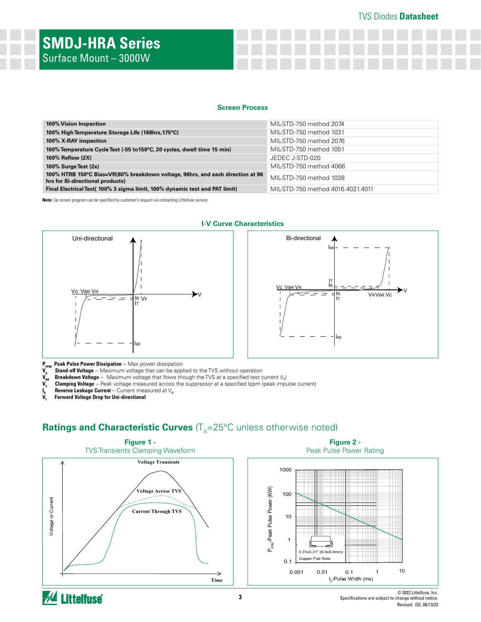### **Screen Process**

| 100% Vision Inspection                                                                                             | MIL-STD-750 method 2074           |
|--------------------------------------------------------------------------------------------------------------------|-----------------------------------|
| 100% High Temperature Storage Life (168hrs, 175°C)                                                                 | MIL-STD-750 method 1031           |
| 100% X-RAY inspection                                                                                              | MIL-STD-750 method 2076           |
| 100% Temperature Cycle Test (-55 to 150°C, 20 cycles, dwell time 15 min)                                           | MIL-STD-750 method 1051           |
| 100% Reflow (2X)                                                                                                   | JEDEC J-STD-020                   |
| 100% Surge Test (2x)                                                                                               | MIL-STD-750 method 4066           |
| 100% HTRB 150°C Bias=VR(80% breakdown voltage, 96hrs, and each direction at 96<br>hrs for Bi-directional products) | MIL-STD-750 method 1038           |
| Final Electrical Test( 100% 3 sigma limit, 100% dynamic test and PAT limit)                                        | MIL-STD-750 method 4016.4021.4011 |

**Note:** Up-screen program can be specified by customer's request via contacting Littlefuse service



### V<sub>c</sub> V<sub>BR VR</sub> IR IT Ipp V VRVBR Vc Ipp IR IT Bi-directional

**P<sub>PPM</sub> Peak Pulse Power Dissipation** -- Max power dissipation<br>V<sub>s</sub> Stand-off Voltage -- Maximum voltage that can be appl

**Breakdown Voltage** -- Maximum voltage that flows though the TVS at a specified test current (I<sub>T</sub>)

- **V<sub>R</sub>** Stand-off Voltage -- Maximum voltage that can be applied to the TVS without operation **V<sub>BR</sub>** Breakdown Voltage -- Maximum voltage that flows though the TVS at a specified test c<br> **V<sub>C</sub>** Clamping Voltage -- Peak vol **Clamping Voltage** -- Peak voltage measured across the suppressor at a specified Ippm (peak impulse current)
- **Reverse Leakage Current** -- Current measured at V<sub>R</sub>
- $\overline{\mathbf{V}}_{\mathbf{F}}^{\mathbf{R}}$ **Forward Voltage Drop for Uni-directional**

# **Ratings and Characteristic Curves** (T<sub>A</sub>=25°C unless otherwise noted)



Specifications are subject to change without notice. Revised: GD. 06/13/22

#### **I-V Curve Characteristics**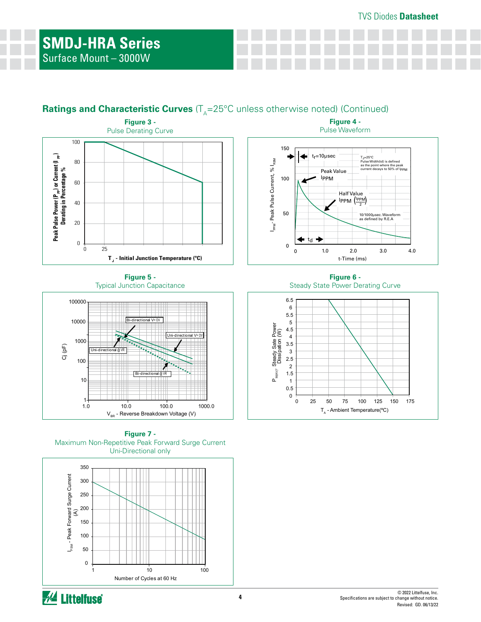## **Ratings and Characteristic Curves** (T<sub>A</sub>=25°C unless otherwise noted) (Continued)



**Figure 5 -**  Typical Junction Capacitance



**Figure 7 -**  Maximum Non-Repetitive Peak Forward Surge Current Uni-Directional only



**Figure 4 -**  Pulse Waveform



**Figure 6 -**  Steady State Power Derating Curve

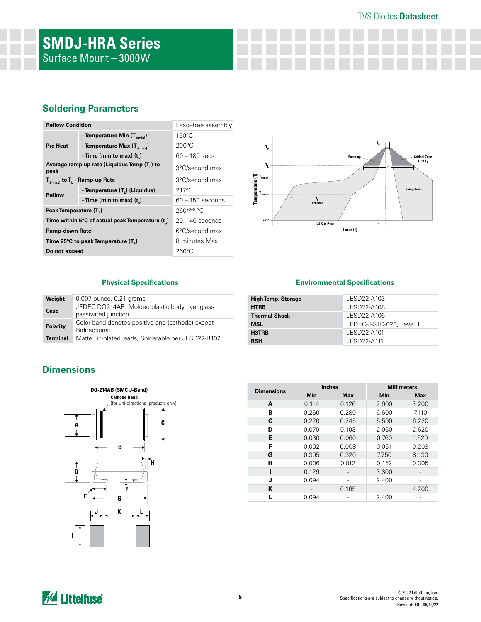### TVS Diodes **Datasheet**

### **Soldering Parameters**

| <b>Reflow Condition</b>            |                                                 | Lead-free assembly |  |  |  |  |  |
|------------------------------------|-------------------------------------------------|--------------------|--|--|--|--|--|
| <b>Pre Heat</b>                    | - Temperature Min $(T_{\text{s/min}})$          | $150^{\circ}$ C    |  |  |  |  |  |
|                                    | - Temperature Max $(T_{\text{simax}})$          | $200^{\circ}$ C    |  |  |  |  |  |
|                                    | -Time (min to max) $(t_*)$                      | $60 - 180$ secs    |  |  |  |  |  |
| peak                               | Average ramp up rate (Liquidus Temp (T,) to     | 3°C/second max     |  |  |  |  |  |
|                                    | $T_{S(max)}$ to $T_{L}$ - Ramp-up Rate          | 3°C/second max     |  |  |  |  |  |
| <b>Reflow</b>                      | - Temperature (T <sub>1</sub> ) (Liquidus)      | $217^{\circ}$ C    |  |  |  |  |  |
|                                    | -Time (min to max) $(t_*)$                      | $60 - 150$ seconds |  |  |  |  |  |
| Peak Temperature (T <sub>a</sub> ) |                                                 | $260^{+0/5}$ °C    |  |  |  |  |  |
|                                    | Time within 5°C of actual peak Temperature (t)  | $20 - 40$ seconds  |  |  |  |  |  |
| Ramp-down Rate                     |                                                 | 6°C/second max     |  |  |  |  |  |
|                                    | Time 25°C to peak Temperature (T <sub>a</sub> ) | 8 minutes Max.     |  |  |  |  |  |
| Do not exceed                      |                                                 | $260^{\circ}$ C    |  |  |  |  |  |



### **Physical Specifications**

| Weight          | 0.007 ounce, 0.21 grams                                              |
|-----------------|----------------------------------------------------------------------|
| Case            | JEDEC DO214AB. Molded plastic body over glass<br>passivated junction |
| <b>Polarity</b> | Color band denotes positive end (cathode) except<br>Bidirectional.   |
| <b>Terminal</b> | Matte Tin-plated leads, Solderable per JESD22-B102                   |

### **Environmental Specifications**

| <b>High Temp. Storage</b> | JESD22-A103              |
|---------------------------|--------------------------|
| <b>HTRB</b>               | JESD22-A108              |
| <b>Thermal Shock</b>      | JESD22-A106              |
| <b>MSL</b>                | JEDEC-J-STD-020, Level 1 |
| H3TRB                     | JESD22-A101              |
| <b>RSH</b>                | JFSD22-A111              |

## **Dimensions**



| <b>Dimensions</b> |       | <b>Inches</b> | <b>Millimeters</b> |            |  |  |  |
|-------------------|-------|---------------|--------------------|------------|--|--|--|
|                   | Min   | <b>Max</b>    | Min                | <b>Max</b> |  |  |  |
| A                 | 0.114 | 0.126         | 2.900              | 3.200      |  |  |  |
| в                 | 0.260 | 0.280         | 6.600              | 7.110      |  |  |  |
| C                 | 0.220 | 0.245         | 5.590              | 6.220      |  |  |  |
| D                 | 0.079 | 0.103         | 2.060              | 2.620      |  |  |  |
| E                 | 0.030 | 0.060         | 0.760              | 1.520      |  |  |  |
| F                 | 0.002 | 0.008         | 0.051              | 0.203      |  |  |  |
| G                 | 0.305 | 0.320         | 7.750              | 8.130      |  |  |  |
| н                 | 0.006 | 0.012         | 0.152              | 0.305      |  |  |  |
|                   | 0.129 |               | 3.300              |            |  |  |  |
| J                 | 0.094 |               | 2.400              |            |  |  |  |
| К                 |       | 0.165         |                    | 4.200      |  |  |  |
|                   | 0.094 |               | 2.400              |            |  |  |  |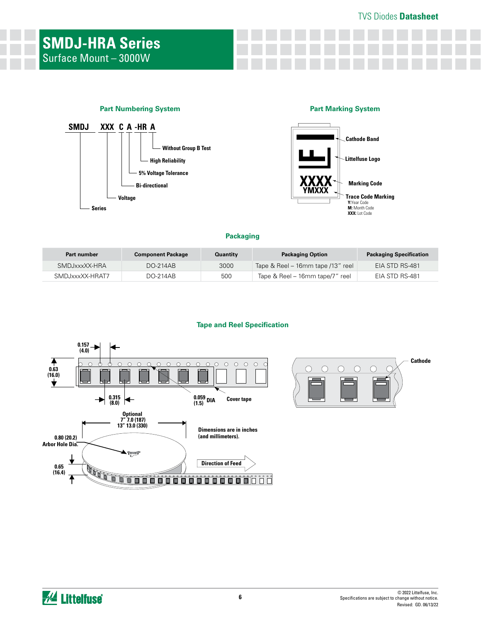### **Part Numbering System**



### **Part Marking System**



#### **Packaging**

| Part number     | <b>Component Package</b> | Quantity | <b>Packaging Option</b>           | <b>Packaging Specification</b> |
|-----------------|--------------------------|----------|-----------------------------------|--------------------------------|
| SMDJxxxXX-HRA   | DO-214AB                 | 3000     | Tape & Reel – 16mm tape /13" reel | EIA STD RS-481                 |
| SMDJxxxXX-HRAT7 | DO-214AB                 | 500      | Tape & Reel – 16mm tape/7" reel   | EIA STD RS-481                 |

#### **Tape and Reel Specification**



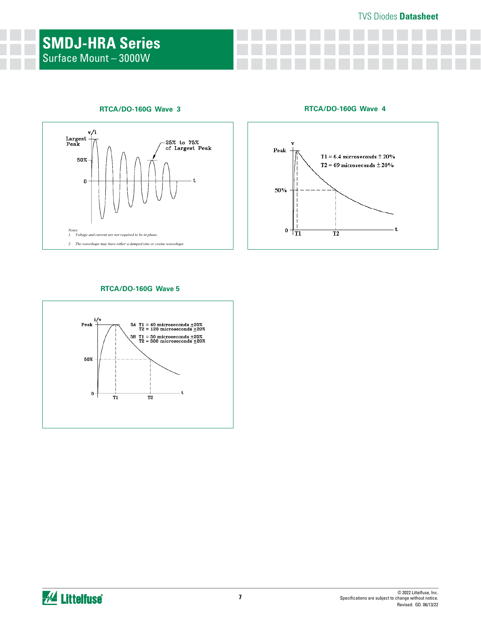### **RTCA/DO-160G Wave 3**



**RTCA/DO-160G Wave 4**



### **RTCA/DO-160G Wave 5**